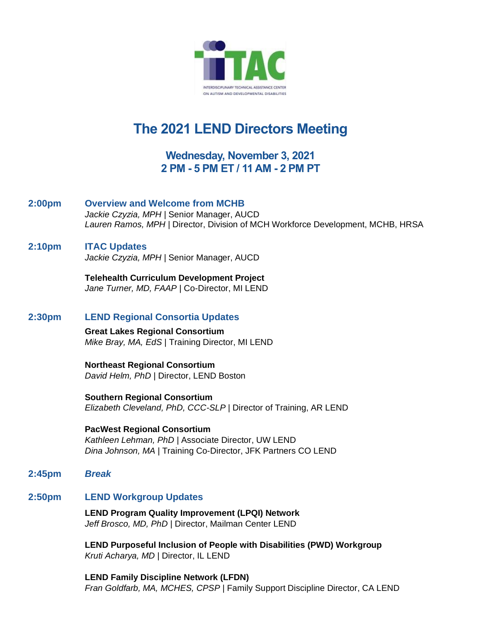

# **The 2021 LEND Directors Meeting**

# **Wednesday, November 3, 2021 2 PM - 5 PM ET / 11 AM - 2 PM PT**

- **2:00pm Overview and Welcome from MCHB** *Jackie Czyzia, MPH* | Senior Manager, AUCD *Lauren Ramos, MPH* | Director, Division of MCH Workforce Development, MCHB, HRSA
- **2:10pm ITAC Updates** *Jackie Czyzia, MPH* | Senior Manager, AUCD

**Telehealth Curriculum Development Project** *Jane Turner, MD, FAAP* | Co-Director, MI LEND

## **2:30pm LEND Regional Consortia Updates**

**Great Lakes Regional Consortium** *Mike Bray, MA, EdS* | Training Director, MI LEND

**Northeast Regional Consortium** *David Helm, PhD* | Director, LEND Boston

**Southern Regional Consortium**  *Elizabeth Cleveland, PhD, CCC-SLP* | Director of Training, AR LEND

**PacWest Regional Consortium**  *Kathleen Lehman, PhD* | Associate Director, UW LEND *Dina Johnson, MA* | Training Co-Director, JFK Partners CO LEND

**2:45pm** *Break*

## **2:50pm LEND Workgroup Updates**

**LEND Program Quality Improvement (LPQI) Network** *Jeff Brosco, MD, PhD* | Director, Mailman Center LEND

**LEND Purposeful Inclusion of People with Disabilities (PWD) Workgroup** *Kruti Acharya, MD* | Director, IL LEND

**LEND Family Discipline Network (LFDN)** *Fran Goldfarb, MA, MCHES, CPSP* | Family Support Discipline Director, CA LEND